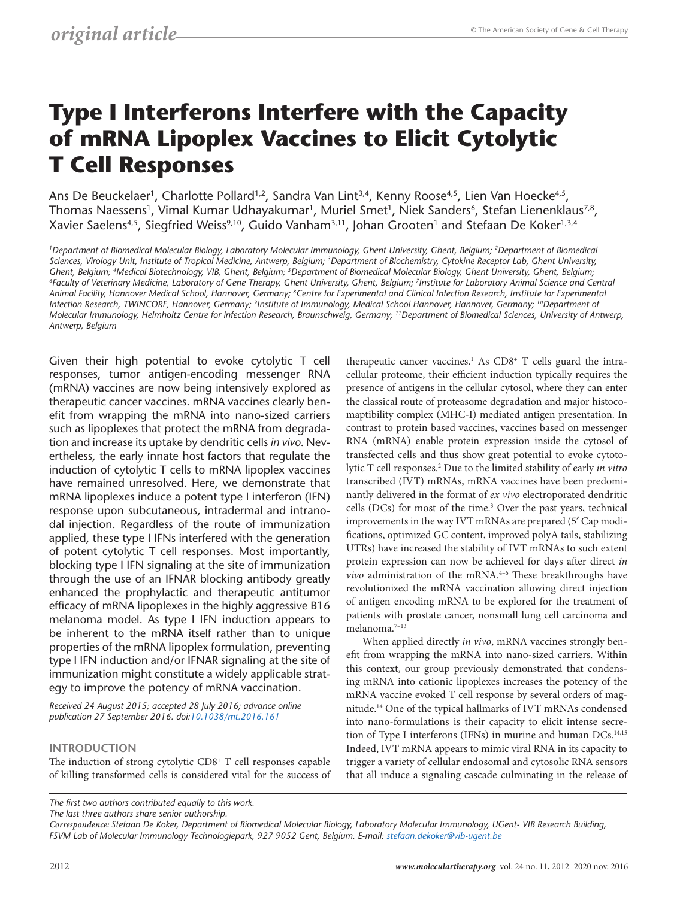# **Type I Interferons Interfere with the Capacity of mRNA Lipoplex Vaccines to Elicit Cytolytic T Cell Responses**

Ans De Beuckelaer<sup>1</sup>, Charlotte Pollard<sup>1,2</sup>, Sandra Van Lint<sup>3,4</sup>, Kenny Roose<sup>4,5</sup>, Lien Van Hoecke<sup>4,5</sup>, Thomas Naessens<sup>1</sup>, Vimal Kumar Udhayakumar<sup>1</sup>, Muriel Smet<sup>1</sup>, Niek Sanders<sup>6</sup>, Stefan Lienenklaus<sup>7,8</sup>, Xavier Saelens<sup>4,5</sup>, Siegfried Weiss<sup>9,10</sup>, Guido Vanham<sup>3,11</sup>, Johan Grooten<sup>1</sup> and Stefaan De Koker<sup>1,3,4</sup>

*1Department of Biomedical Molecular Biology, Laboratory Molecular Immunology, Ghent University, Ghent, Belgium; 2Department of Biomedical Sciences, Virology Unit, Institute of Tropical Medicine, Antwerp, Belgium; 3Department of Biochemistry, Cytokine Receptor Lab, Ghent University,*  Ghent, Belgium; <sup>4</sup>Medical Biotechnology, VIB, Ghent, Belgium; <sup>5</sup>Department of Biomedical Molecular Biology, Ghent University, Ghent, Belgium;<br><sup>6</sup>Faculty of Veterinary Medicine, Laboratory of Gene Therapy, Ghent Universit *Animal Facility, Hannover Medical School, Hannover, Germany; 8Centre for Experimental and Clinical Infection Research, Institute for Experimental Infection Research, TWINCORE, Hannover, Germany; 9Institute of Immunology, Medical School Hannover, Hannover, Germany; 10Department of Molecular Immunology, Helmholtz Centre for infection Research, Braunschweig, Germany; 11Department of Biomedical Sciences, University of Antwerp, Antwerp, Belgium*

Given their high potential to evoke cytolytic T cell responses, tumor antigen-encoding messenger RNA (mRNA) vaccines are now being intensively explored as therapeutic cancer vaccines. mRNA vaccines clearly benefit from wrapping the mRNA into nano-sized carriers such as lipoplexes that protect the mRNA from degradation and increase its uptake by dendritic cells *in vivo*. Nevertheless, the early innate host factors that regulate the induction of cytolytic T cells to mRNA lipoplex vaccines have remained unresolved. Here, we demonstrate that mRNA lipoplexes induce a potent type I interferon (IFN) response upon subcutaneous, intradermal and intranodal injection. Regardless of the route of immunization applied, these type I IFNs interfered with the generation of potent cytolytic T cell responses. Most importantly, blocking type I IFN signaling at the site of immunization through the use of an IFNAR blocking antibody greatly enhanced the prophylactic and therapeutic antitumor efficacy of mRNA lipoplexes in the highly aggressive B16 melanoma model. As type I IFN induction appears to be inherent to the mRNA itself rather than to unique properties of the mRNA lipoplex formulation, preventing type I IFN induction and/or IFNAR signaling at the site of immunization might constitute a widely applicable strategy to improve the potency of mRNA vaccination.

*Received 24 August 2015; accepted 28 July 2016; advance online publication 27 September 2016. doi[:10.1038/mt.2016.161](http://www.nature.com/doifinder/10.1038/mt.2016.161)*

## **INTRODUCTION**

The induction of strong cytolytic CD8<sup>+</sup> T cell responses capable of killing transformed cells is considered vital for the success of

therapeutic cancer vaccines.<sup>1</sup> As  $CDS+T$  cells guard the intracellular proteome, their efficient induction typically requires the presence of antigens in the cellular cytosol, where they can enter the classical route of proteasome degradation and major histocomaptibility complex (MHC-I) mediated antigen presentation. In contrast to protein based vaccines, vaccines based on messenger RNA (mRNA) enable protein expression inside the cytosol of transfected cells and thus show great potential to evoke cytotolytic T cell responses.2 Due to the limited stability of early *in vitro* transcribed (IVT) mRNAs, mRNA vaccines have been predominantly delivered in the format of *ex vivo* electroporated dendritic cells (DCs) for most of the time.<sup>3</sup> Over the past years, technical improvements in the way IVT mRNAs are prepared (5′ Cap modifications, optimized GC content, improved polyA tails, stabilizing UTRs) have increased the stability of IVT mRNAs to such extent protein expression can now be achieved for days after direct *in vivo* administration of the mRNA.<sup>4-6</sup> These breakthroughs have revolutionized the mRNA vaccination allowing direct injection of antigen encoding mRNA to be explored for the treatment of patients with prostate cancer, nonsmall lung cell carcinoma and melanoma.7–13

When applied directly *in vivo*, mRNA vaccines strongly benefit from wrapping the mRNA into nano-sized carriers. Within this context, our group previously demonstrated that condensing mRNA into cationic lipoplexes increases the potency of the mRNA vaccine evoked T cell response by several orders of magnitude.14 One of the typical hallmarks of IVT mRNAs condensed into nano-formulations is their capacity to elicit intense secretion of Type I interferons (IFNs) in murine and human DCs.<sup>14,15</sup> Indeed, IVT mRNA appears to mimic viral RNA in its capacity to trigger a variety of cellular endosomal and cytosolic RNA sensors that all induce a signaling cascade culminating in the release of

*The last three authors share senior authorship.*

*The first two authors contributed equally to this work.*

*Correspondence: Stefaan De Koker, Department of Biomedical Molecular Biology, Laboratory Molecular Immunology, UGent- VIB Research Building, FSVM Lab of Molecular Immunology Technologiepark, 927 9052 Gent, Belgium. E-mail: [stefaan.dekoker@vib-ugent.be](mailto:stefaan.dekoker@vib-ugent.be)*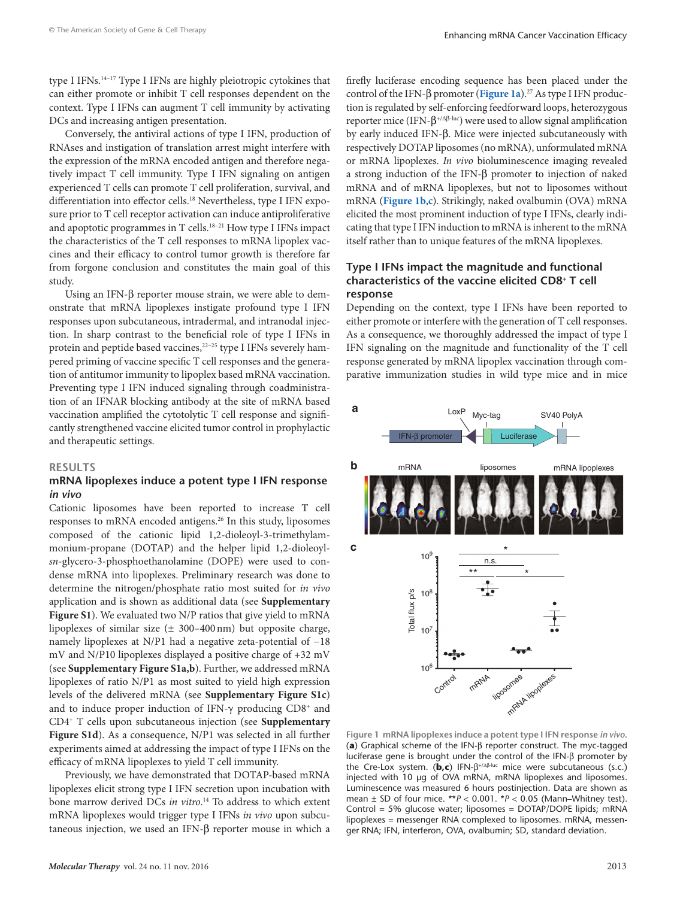type I IFNs.14–17 Type I IFNs are highly pleiotropic cytokines that can either promote or inhibit T cell responses dependent on the context. Type I IFNs can augment T cell immunity by activating DCs and increasing antigen presentation.

Conversely, the antiviral actions of type I IFN, production of RNAses and instigation of translation arrest might interfere with the expression of the mRNA encoded antigen and therefore negatively impact T cell immunity. Type I IFN signaling on antigen experienced T cells can promote T cell proliferation, survival, and differentiation into effector cells.18 Nevertheless, type I IFN exposure prior to T cell receptor activation can induce antiproliferative and apoptotic programmes in T cells.<sup>18-21</sup> How type I IFNs impact the characteristics of the T cell responses to mRNA lipoplex vaccines and their efficacy to control tumor growth is therefore far from forgone conclusion and constitutes the main goal of this study.

Using an IFN-β reporter mouse strain, we were able to demonstrate that mRNA lipoplexes instigate profound type I IFN responses upon subcutaneous, intradermal, and intranodal injection. In sharp contrast to the beneficial role of type I IFNs in protein and peptide based vaccines,<sup>22-25</sup> type I IFNs severely hampered priming of vaccine specific T cell responses and the generation of antitumor immunity to lipoplex based mRNA vaccination. Preventing type I IFN induced signaling through coadministration of an IFNAR blocking antibody at the site of mRNA based vaccination amplified the cytotolytic T cell response and significantly strengthened vaccine elicited tumor control in prophylactic and therapeutic settings.

#### **RESULTS**

## **mRNA lipoplexes induce a potent type I IFN response**  *in vivo*

Cationic liposomes have been reported to increase T cell responses to mRNA encoded antigens.26 In this study, liposomes composed of the cationic lipid 1,2-dioleoyl-3-trimethylammonium-propane (DOTAP) and the helper lipid 1,2-dioleoyl*sn*-glycero-3-phosphoethanolamine (DOPE) were used to condense mRNA into lipoplexes. Preliminary research was done to determine the nitrogen/phosphate ratio most suited for *in vivo* application and is shown as additional data (see **Supplementary Figure S1**). We evaluated two N/P ratios that give yield to mRNA lipoplexes of similar size  $(\pm 300 - 400)$  nm) but opposite charge, namely lipoplexes at N/P1 had a negative zeta-potential of −18 mV and N/P10 lipoplexes displayed a positive charge of +32 mV (see **Supplementary Figure S1a,b**). Further, we addressed mRNA lipoplexes of ratio N/P1 as most suited to yield high expression levels of the delivered mRNA (see **Supplementary Figure S1c**) and to induce proper induction of IFN- $\gamma$  producing CD8<sup>+</sup> and CD4+ T cells upon subcutaneous injection (see **Supplementary Figure S1d**). As a consequence, N/P1 was selected in all further experiments aimed at addressing the impact of type I IFNs on the efficacy of mRNA lipoplexes to yield T cell immunity.

Previously, we have demonstrated that DOTAP-based mRNA lipoplexes elicit strong type I IFN secretion upon incubation with bone marrow derived DCs *in vitro*. 14 To address to which extent mRNA lipoplexes would trigger type I IFNs *in vivo* upon subcutaneous injection, we used an IFN-β reporter mouse in which a

firefly luciferase encoding sequence has been placed under the control of the IFN-β promoter (**[Figure 1a](#page-1-0)**).27 As type I IFN production is regulated by self-enforcing feedforward loops, heterozygous reporter mice (IFN-β<sup>+/Δβ-luc</sup>) were used to allow signal amplification by early induced IFN-β. Mice were injected subcutaneously with respectively DOTAP liposomes (no mRNA), unformulated mRNA or mRNA lipoplexes. *In vivo* bioluminescence imaging revealed a strong induction of the IFN-β promoter to injection of naked mRNA and of mRNA lipoplexes, but not to liposomes without mRNA (**[Figure 1b](#page-1-0)**,**[c](#page-1-0)**). Strikingly, naked ovalbumin (OVA) mRNA elicited the most prominent induction of type I IFNs, clearly indicating that type I IFN induction to mRNA is inherent to the mRNA itself rather than to unique features of the mRNA lipoplexes.

## **Type I IFNs impact the magnitude and functional characteristics of the vaccine elicited CD8+ T cell response**

Depending on the context, type I IFNs have been reported to either promote or interfere with the generation of T cell responses. As a consequence, we thoroughly addressed the impact of type I IFN signaling on the magnitude and functionality of the T cell response generated by mRNA lipoplex vaccination through comparative immunization studies in wild type mice and in mice

<span id="page-1-0"></span>

**Figure 1 mRNA lipoplexes induce a potent type I IFN response** *in vivo***.** (**a**) Graphical scheme of the IFN-β reporter construct. The myc-tagged luciferase gene is brought under the control of the IFN-β promoter by the Cre-Lox system. (**b,c**) IFN-β+/Δβ-luc mice were subcutaneous (s.c.) injected with 10 µg of OVA mRNA, mRNA lipoplexes and liposomes. Luminescence was measured 6 hours postinjection. Data are shown as mean ± SD of four mice. \*\**P* < 0.001. \**P* < 0.05 (Mann–Whitney test). Control = 5% glucose water; liposomes = DOTAP/DOPE lipids; mRNA lipoplexes = messenger RNA complexed to liposomes. mRNA, messenger RNA; IFN, interferon, OVA, ovalbumin; SD, standard deviation.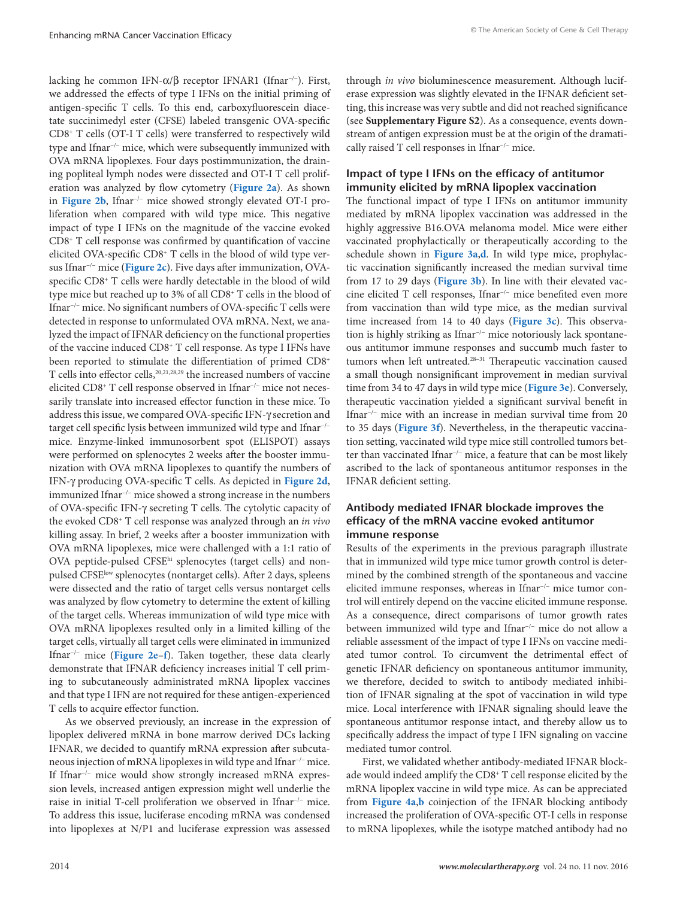lacking he common IFN-α/β receptor IFNAR1 (Ifnar<sup>-/-</sup>). First, we addressed the effects of type I IFNs on the initial priming of antigen-specific T cells. To this end, carboxyfluorescein diacetate succinimedyl ester (CFSE) labeled transgenic OVA-specific CD8+ T cells (OT-I T cells) were transferred to respectively wild type and Ifnar−/− mice, which were subsequently immunized with OVA mRNA lipoplexes. Four days postimmunization, the draining popliteal lymph nodes were dissected and OT-I T cell proliferation was analyzed by flow cytometry (**[Figure 2a](#page-3-0)**). As shown in **[Figure 2b](#page-3-0)**, Ifnar−/− mice showed strongly elevated OT-I proliferation when compared with wild type mice. This negative impact of type I IFNs on the magnitude of the vaccine evoked CD8+ T cell response was confirmed by quantification of vaccine elicited OVA-specific CD8+ T cells in the blood of wild type versus Ifnar−/− mice (**[Figure 2c](#page-3-0)**). Five days after immunization, OVAspecific CD8+ T cells were hardly detectable in the blood of wild type mice but reached up to 3% of all CD8+ T cells in the blood of Ifnar−/− mice. No significant numbers of OVA-specific T cells were detected in response to unformulated OVA mRNA. Next, we analyzed the impact of IFNAR deficiency on the functional properties of the vaccine induced CD8+ T cell response. As type I IFNs have been reported to stimulate the differentiation of primed CD8+ T cells into effector cells,<sup>20,21,28,29</sup> the increased numbers of vaccine elicited CD8+ T cell response observed in Ifnar−/− mice not necessarily translate into increased effector function in these mice. To address this issue, we compared OVA-specific IFN-γ secretion and target cell specific lysis between immunized wild type and Ifnar−/− mice. Enzyme-linked immunosorbent spot (ELISPOT) assays were performed on splenocytes 2 weeks after the booster immunization with OVA mRNA lipoplexes to quantify the numbers of IFN-γ producing OVA-specific T cells. As depicted in **[Figure 2d](#page-3-0)**, immunized Ifnar−/− mice showed a strong increase in the numbers of OVA-specific IFN-γ secreting T cells. The cytolytic capacity of the evoked CD8+ T cell response was analyzed through an *in vivo* killing assay. In brief, 2 weeks after a booster immunization with OVA mRNA lipoplexes, mice were challenged with a 1:1 ratio of OVA peptide-pulsed CFSEhi splenocytes (target cells) and nonpulsed CFSE<sup>low</sup> splenocytes (nontarget cells). After 2 days, spleens were dissected and the ratio of target cells versus nontarget cells was analyzed by flow cytometry to determine the extent of killing of the target cells. Whereas immunization of wild type mice with OVA mRNA lipoplexes resulted only in a limited killing of the target cells, virtually all target cells were eliminated in immunized Ifnar−/− mice (**[Figure 2e](#page-3-0)**–**[f](#page-3-0)**). Taken together, these data clearly demonstrate that IFNAR deficiency increases initial T cell priming to subcutaneously administrated mRNA lipoplex vaccines and that type I IFN are not required for these antigen-experienced T cells to acquire effector function.

As we observed previously, an increase in the expression of lipoplex delivered mRNA in bone marrow derived DCs lacking IFNAR, we decided to quantify mRNA expression after subcutaneous injection of mRNA lipoplexes in wild type and Ifnar−/− mice. If Ifnar−/− mice would show strongly increased mRNA expression levels, increased antigen expression might well underlie the raise in initial T-cell proliferation we observed in Ifnar−/− mice. To address this issue, luciferase encoding mRNA was condensed into lipoplexes at N/P1 and luciferase expression was assessed through *in vivo* bioluminescence measurement. Although luciferase expression was slightly elevated in the IFNAR deficient setting, this increase was very subtle and did not reached significance (see **Supplementary Figure S2**). As a consequence, events downstream of antigen expression must be at the origin of the dramatically raised T cell responses in Ifnar−/− mice.

# **Impact of type I IFNs on the efficacy of antitumor immunity elicited by mRNA lipoplex vaccination**

The functional impact of type I IFNs on antitumor immunity mediated by mRNA lipoplex vaccination was addressed in the highly aggressive B16.OVA melanoma model. Mice were either vaccinated prophylactically or therapeutically according to the schedule shown in **[Figure 3a](#page-4-0)**,**[d](#page-4-0)**. In wild type mice, prophylactic vaccination significantly increased the median survival time from 17 to 29 days (**[Figure 3b](#page-4-0)**). In line with their elevated vaccine elicited T cell responses, Ifnar−/− mice benefited even more from vaccination than wild type mice, as the median survival time increased from 14 to 40 days (**[Figure 3c](#page-4-0)**). This observation is highly striking as Ifnar−/− mice notoriously lack spontaneous antitumor immune responses and succumb much faster to tumors when left untreated.<sup>28-31</sup> Therapeutic vaccination caused a small though nonsignificant improvement in median survival time from 34 to 47 days in wild type mice (**[Figure 3e](#page-4-0)**). Conversely, therapeutic vaccination yielded a significant survival benefit in Ifnar−/− mice with an increase in median survival time from 20 to 35 days (**[Figure 3f](#page-4-0)**). Nevertheless, in the therapeutic vaccination setting, vaccinated wild type mice still controlled tumors better than vaccinated Ifnar−/− mice, a feature that can be most likely ascribed to the lack of spontaneous antitumor responses in the IFNAR deficient setting.

## **Antibody mediated IFNAR blockade improves the efficacy of the mRNA vaccine evoked antitumor immune response**

Results of the experiments in the previous paragraph illustrate that in immunized wild type mice tumor growth control is determined by the combined strength of the spontaneous and vaccine elicited immune responses, whereas in Ifnar−/− mice tumor control will entirely depend on the vaccine elicited immune response. As a consequence, direct comparisons of tumor growth rates between immunized wild type and Ifnar−/− mice do not allow a reliable assessment of the impact of type I IFNs on vaccine mediated tumor control. To circumvent the detrimental effect of genetic IFNAR deficiency on spontaneous antitumor immunity, we therefore, decided to switch to antibody mediated inhibition of IFNAR signaling at the spot of vaccination in wild type mice. Local interference with IFNAR signaling should leave the spontaneous antitumor response intact, and thereby allow us to specifically address the impact of type I IFN signaling on vaccine mediated tumor control.

First, we validated whether antibody-mediated IFNAR blockade would indeed amplify the CD8+ T cell response elicited by the mRNA lipoplex vaccine in wild type mice. As can be appreciated from **[Figure 4a](#page-5-0)**,**[b](#page-5-0)** coinjection of the IFNAR blocking antibody increased the proliferation of OVA-specific OT-I cells in response to mRNA lipoplexes, while the isotype matched antibody had no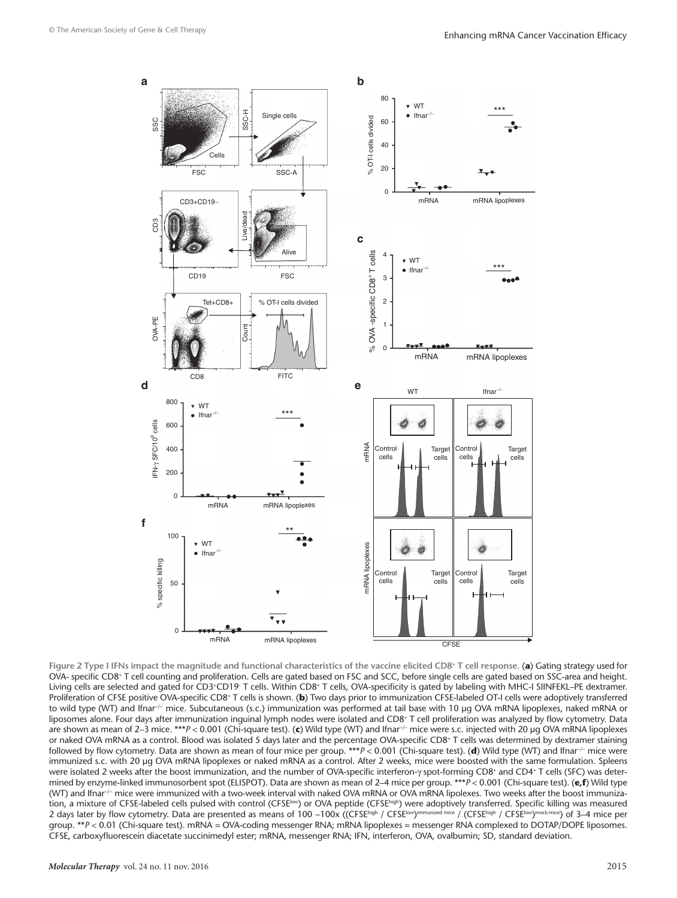<span id="page-3-0"></span>

**Figure 2 Type I IFNs impact the magnitude and functional characteristics of the vaccine elicited CD8<sup>+</sup> T cell response.** (**a**) Gating strategy used for OVA- specific CD8+ T cell counting and proliferation. Cells are gated based on FSC and SCC, before single cells are gated based on SSC-area and height. Living cells are selected and gated for CD3+CD19 T cells. Within CD8+ T cells, OVA-specificity is gated by labeling with MHC-I SIINFEKL–PE dextramer. Proliferation of CFSE positive OVA-specific CD8<sup>+</sup> T cells is shown. (b) Two days prior to immunization CFSE-labeled OT-I cells were adoptively transferred to wild type (WT) and Ifnar<sup>-/-</sup> mice. Subcutaneous (s.c.) immunization was performed at tail base with 10 µg OVA mRNA lipoplexes, naked mRNA or liposomes alone. Four days after immunization inguinal lymph nodes were isolated and CD8+ T cell proliferation was analyzed by flow cytometry. Data are shown as mean of 2–3 mice. \*\*\**P* < 0.001 (Chi-square test). (**c**) Wild type (WT) and Ifnar−/− mice were s.c. injected with 20 µg OVA mRNA lipoplexes or naked OVA mRNA as a control. Blood was isolated 5 days later and the percentage OVA-specific CD8+ T cells was determined by dextramer staining followed by flow cytometry. Data are shown as mean of four mice per group. \*\*\**P* < 0.001 (Chi-square test). (**d**) Wild type (WT) and Ifnar−/− mice were immunized s.c. with 20 µg OVA mRNA lipoplexes or naked mRNA as a control. After 2 weeks, mice were boosted with the same formulation. Spleens were isolated 2 weeks after the boost immunization, and the number of OVA-specific interferon-γ spot-forming CD8+ and CD4+ T cells (SFC) was determined by enzyme-linked immunosorbent spot (ELISPOT). Data are shown as mean of 2–4 mice per group. \*\*\**P* < 0.001 (Chi-square test). (**e,f**) Wild type (WT) and Ifnar−/− mice were immunized with a two-week interval with naked OVA mRNA or OVA mRNA lipolexes. Two weeks after the boost immunization, a mixture of CFSE-labeled cells pulsed with control (CFSE<sup>Iow</sup>) or OVA peptide (CFSE<sup>Nigh</sup>) were adoptively transferred. Specific killing was measured 2 days later by flow cytometry. Data are presented as means of 100 -100x ((CFSEhigh / CFSElow)immunized mice / (CFSEhigh / CFSElow)mock-mice) of 3-4 mice per group. \*\**P* < 0.01 (Chi-square test). mRNA *=* OVA-coding messenger RNA; mRNA lipoplexes = messenger RNA complexed to DOTAP/DOPE liposomes. CFSE, carboxyfluorescein diacetate succinimedyl ester; mRNA, messenger RNA; IFN, interferon, OVA, ovalbumin; SD, standard deviation.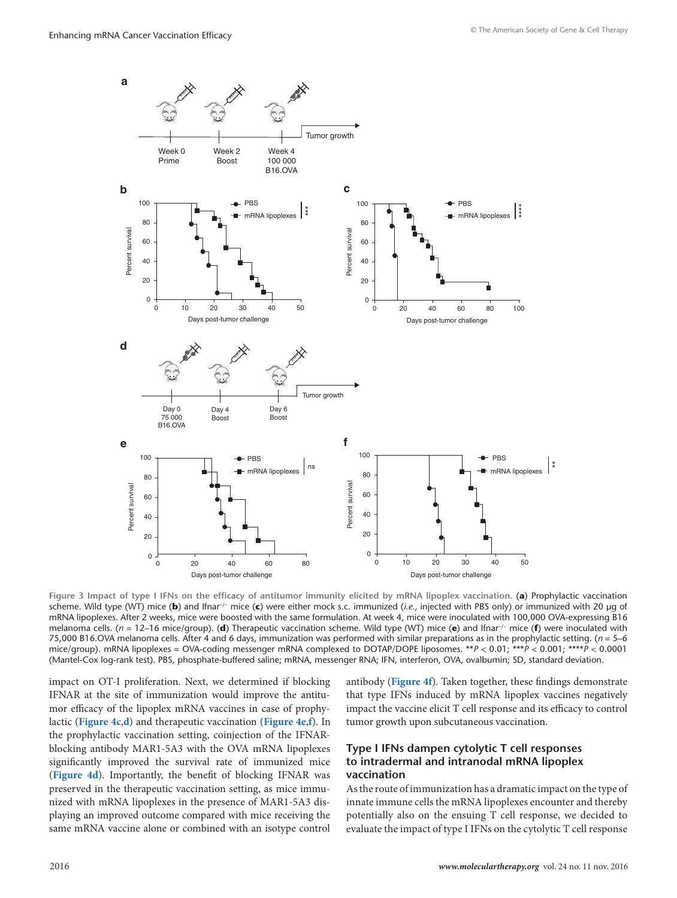<span id="page-4-0"></span>

**Figure 3 Impact of type I IFNs on the efficacy of antitumor immunity elicited by mRNA lipoplex vaccination.** (**a**) Prophylactic vaccination scheme. Wild type (WT) mice (**b**) and Ifnar−/− mice (**c**) were either mock s.c. immunized (*i.e.*, injected with PBS only) or immunized with 20 µg of mRNA lipoplexes. After 2 weeks, mice were boosted with the same formulation. At week 4, mice were inoculated with 100,000 OVA-expressing B16 melanoma cells. (*n* = 12–16 mice/group). (**d**) Therapeutic vaccination scheme. Wild type (WT) mice (**e**) and Ifnar−/− mice (**f**) were inoculated with 75,000 B16.OVA melanoma cells. After 4 and 6 days, immunization was performed with similar preparations as in the prophylactic setting. (*n* = 5–6 mice/group). mRNA lipoplexes = OVA-coding messenger mRNA complexed to DOTAP/DOPE liposomes. \*\**P* < 0.01; \*\*\**P* < 0.001; \*\*\*\**P* < 0.0001 (Mantel-Cox log-rank test). PBS, phosphate-buffered saline; mRNA, messenger RNA; IFN, interferon, OVA, ovalbumin; SD, standard deviation.

impact on OT-I proliferation. Next, we determined if blocking IFNAR at the site of immunization would improve the antitumor efficacy of the lipoplex mRNA vaccines in case of prophylactic (**[Figure 4c](#page-5-0)**,**[d](#page-5-0)**) and therapeutic vaccination (**[Figure 4e](#page-5-0)**,**[f](#page-5-0)**). In the prophylactic vaccination setting, coinjection of the IFNARblocking antibody MAR1-5A3 with the OVA mRNA lipoplexes significantly improved the survival rate of immunized mice (**[Figure 4d](#page-5-0)**). Importantly, the benefit of blocking IFNAR was preserved in the therapeutic vaccination setting, as mice immunized with mRNA lipoplexes in the presence of MAR1-5A3 displaying an improved outcome compared with mice receiving the same mRNA vaccine alone or combined with an isotype control

antibody (**[Figure 4f](#page-5-0)**). Taken together, these findings demonstrate that type IFNs induced by mRNA lipoplex vaccines negatively impact the vaccine elicit T cell response and its efficacy to control tumor growth upon subcutaneous vaccination.

# **Type I IFNs dampen cytolytic T cell responses to intradermal and intranodal mRNA lipoplex vaccination**

As the route of immunization has a dramatic impact on the type of innate immune cells the mRNA lipoplexes encounter and thereby potentially also on the ensuing T cell response, we decided to evaluate the impact of type I IFNs on the cytolytic T cell response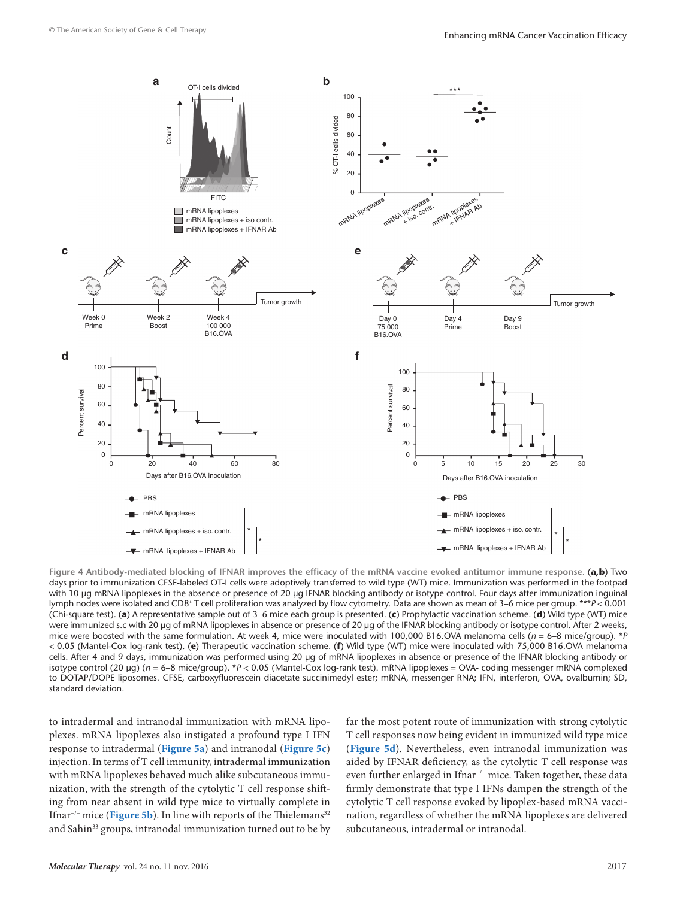<span id="page-5-0"></span>

Figure 4 Antibody-mediated blocking of IFNAR improves the efficacy of the mRNA vaccine evoked antitumor immune response. (a,b) Two days prior to immunization CFSE-labeled OT-I cells were adoptively transferred to wild type (WT) mice. Immunization was performed in the footpad with 10 µg mRNA lipoplexes in the absence or presence of 20 µg IFNAR blocking antibody or isotype control. Four days after immunization inguinal lymph nodes were isolated and CD8+ T cell proliferation was analyzed by flow cytometry. Data are shown as mean of 3–6 mice per group. \*\*\**P* < 0.001 (Chi-square test). (**a**) A representative sample out of 3–6 mice each group is presented. (**c**) Prophylactic vaccination scheme. (**d**) Wild type (WT) mice were immunized s.c with 20 µg of mRNA lipoplexes in absence or presence of 20 µg of the IFNAR blocking antibody or isotype control. After 2 weeks, mice were boosted with the same formulation. At week 4, mice were inoculated with 100,000 B16.OVA melanoma cells (*n* = 6–8 mice/group). \**P* < 0.05 (Mantel-Cox log-rank test). (**e**) Therapeutic vaccination scheme. (**f**) Wild type (WT) mice were inoculated with 75,000 B16.OVA melanoma cells. After 4 and 9 days, immunization was performed using 20 µg of mRNA lipoplexes in absence or presence of the IFNAR blocking antibody or isotype control (20 µg) (*n* = 6–8 mice/group). \**P* < 0.05 (Mantel-Cox log-rank test). mRNA lipoplexes = OVA- coding messenger mRNA complexed to DOTAP/DOPE liposomes. CFSE, carboxyfluorescein diacetate succinimedyl ester; mRNA, messenger RNA; IFN, interferon, OVA, ovalbumin; SD, standard deviation.

to intradermal and intranodal immunization with mRNA lipoplexes. mRNA lipoplexes also instigated a profound type I IFN response to intradermal (**[Figure 5a](#page-6-0)**) and intranodal (**[Figure 5c](#page-6-0)**) injection. In terms of T cell immunity, intradermal immunization with mRNA lipoplexes behaved much alike subcutaneous immunization, with the strength of the cytolytic T cell response shifting from near absent in wild type mice to virtually complete in Ifnar<sup>-/-</sup> mice (**[Figure 5b](#page-6-0)**). In line with reports of the Thielemans<sup>32</sup> and Sahin<sup>33</sup> groups, intranodal immunization turned out to be by far the most potent route of immunization with strong cytolytic T cell responses now being evident in immunized wild type mice (**[Figure 5d](#page-6-0)**). Nevertheless, even intranodal immunization was aided by IFNAR deficiency, as the cytolytic T cell response was even further enlarged in Ifnar−/− mice. Taken together, these data firmly demonstrate that type I IFNs dampen the strength of the cytolytic T cell response evoked by lipoplex-based mRNA vaccination, regardless of whether the mRNA lipoplexes are delivered subcutaneous, intradermal or intranodal.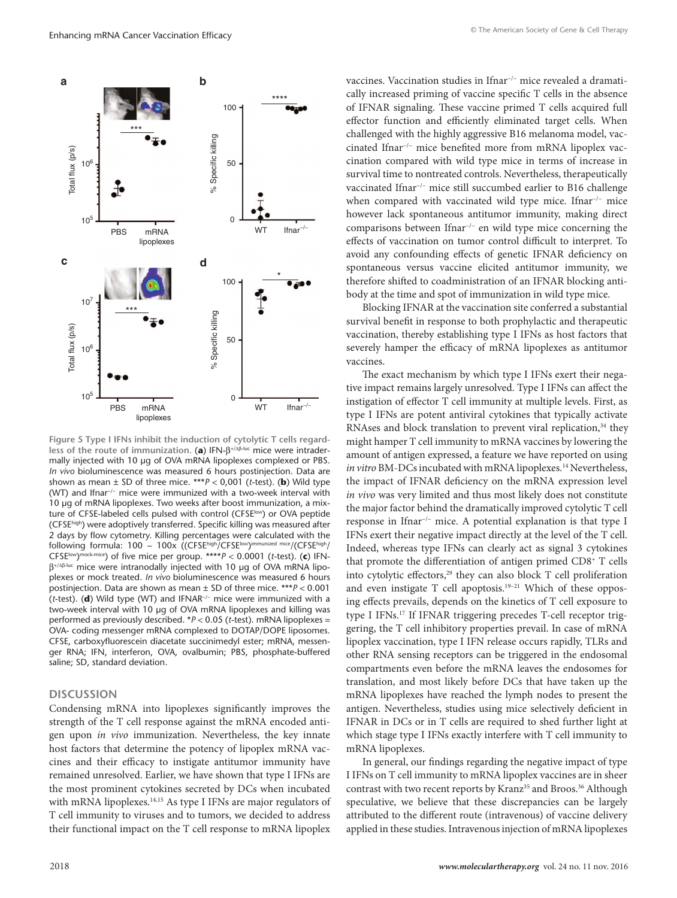<span id="page-6-0"></span>

**Figure 5 Type I IFNs inhibit the induction of cytolytic T cells regardless of the route of immunization.** (**a**) IFN-β+/Δβ-luc mice were intradermally injected with 10 µg of OVA mRNA lipoplexes complexed or PBS. *In vivo* bioluminescence was measured 6 hours postinjection. Data are shown as mean  $\pm$  SD of three mice. \*\*\* $P < 0.001$  (*t*-test). (**b**) Wild type (WT) and Ifnar−/− mice were immunized with a two-week interval with 10 µg of mRNA lipoplexes. Two weeks after boost immunization, a mixture of CFSE-labeled cells pulsed with control (CFSE<sup>low</sup>) or OVA peptide (CFSEhigh) were adoptively transferred. Specific killing was measured after 2 days by flow cytometry. Killing percentages were calculated with the following formula: 100 − 100x ((CFSEhigh/CFSElow)immunized mice/(CFSEhigh/ CFSE<sup>low</sup>)<sup>mock-mice</sup>) of five mice per group. \*\*\*\* $P < 0.0001$  (*t*-test). (c) IFNβ+/Δβ-luc mice were intranodally injected with 10 µg of OVA mRNA lipoplexes or mock treated. *In vivo* bioluminescence was measured 6 hours postinjection. Data are shown as mean ± SD of three mice. \*\*\**P* < 0.001 (*t*-test). (**d**) Wild type (WT) and IFNAR−/− mice were immunized with a two-week interval with 10 µg of OVA mRNA lipoplexes and killing was performed as previously described. \**P* < 0.05 (*t*-test). mRNA lipoplexes = OVA- coding messenger mRNA complexed to DOTAP/DOPE liposomes. CFSE, carboxyfluorescein diacetate succinimedyl ester; mRNA, messenger RNA; IFN, interferon, OVA, ovalbumin; PBS, phosphate-buffered saline; SD, standard deviation.

## **DISCUSSION**

Condensing mRNA into lipoplexes significantly improves the strength of the T cell response against the mRNA encoded antigen upon *in vivo* immunization. Nevertheless, the key innate host factors that determine the potency of lipoplex mRNA vaccines and their efficacy to instigate antitumor immunity have remained unresolved. Earlier, we have shown that type I IFNs are the most prominent cytokines secreted by DCs when incubated with mRNA lipoplexes.<sup>14,15</sup> As type I IFNs are major regulators of T cell immunity to viruses and to tumors, we decided to address their functional impact on the T cell response to mRNA lipoplex vaccines. Vaccination studies in Ifnar−/− mice revealed a dramatically increased priming of vaccine specific T cells in the absence of IFNAR signaling. These vaccine primed T cells acquired full effector function and efficiently eliminated target cells. When challenged with the highly aggressive B16 melanoma model, vaccinated Ifnar−/− mice benefited more from mRNA lipoplex vaccination compared with wild type mice in terms of increase in survival time to nontreated controls. Nevertheless, therapeutically vaccinated Ifnar−/− mice still succumbed earlier to B16 challenge when compared with vaccinated wild type mice. Ifnar<sup>-/−</sup> mice however lack spontaneous antitumor immunity, making direct comparisons between Ifnar−/− en wild type mice concerning the effects of vaccination on tumor control difficult to interpret. To avoid any confounding effects of genetic IFNAR deficiency on spontaneous versus vaccine elicited antitumor immunity, we therefore shifted to coadministration of an IFNAR blocking antibody at the time and spot of immunization in wild type mice.

Blocking IFNAR at the vaccination site conferred a substantial survival benefit in response to both prophylactic and therapeutic vaccination, thereby establishing type I IFNs as host factors that severely hamper the efficacy of mRNA lipoplexes as antitumor vaccines.

The exact mechanism by which type I IFNs exert their negative impact remains largely unresolved. Type I IFNs can affect the instigation of effector T cell immunity at multiple levels. First, as type I IFNs are potent antiviral cytokines that typically activate RNAses and block translation to prevent viral replication,<sup>34</sup> they might hamper T cell immunity to mRNA vaccines by lowering the amount of antigen expressed, a feature we have reported on using *in vitro* BM-DCs incubated with mRNA lipoplexes.<sup>14</sup> Nevertheless, the impact of IFNAR deficiency on the mRNA expression level *in vivo* was very limited and thus most likely does not constitute the major factor behind the dramatically improved cytolytic T cell response in Ifnar−/− mice. A potential explanation is that type I IFNs exert their negative impact directly at the level of the T cell. Indeed, whereas type IFNs can clearly act as signal 3 cytokines that promote the differentiation of antigen primed CD8+ T cells into cytolytic effectors,<sup>29</sup> they can also block T cell proliferation and even instigate T cell apoptosis.<sup>19-21</sup> Which of these opposing effects prevails, depends on the kinetics of T cell exposure to type I IFNs.17 If IFNAR triggering precedes T-cell receptor triggering, the T cell inhibitory properties prevail. In case of mRNA lipoplex vaccination, type I IFN release occurs rapidly, TLRs and other RNA sensing receptors can be triggered in the endosomal compartments even before the mRNA leaves the endosomes for translation, and most likely before DCs that have taken up the mRNA lipoplexes have reached the lymph nodes to present the antigen. Nevertheless, studies using mice selectively deficient in IFNAR in DCs or in T cells are required to shed further light at which stage type I IFNs exactly interfere with T cell immunity to mRNA lipoplexes.

In general, our findings regarding the negative impact of type I IFNs on T cell immunity to mRNA lipoplex vaccines are in sheer contrast with two recent reports by Kranz<sup>35</sup> and Broos.<sup>36</sup> Although speculative, we believe that these discrepancies can be largely attributed to the different route (intravenous) of vaccine delivery applied in these studies. Intravenous injection of mRNA lipoplexes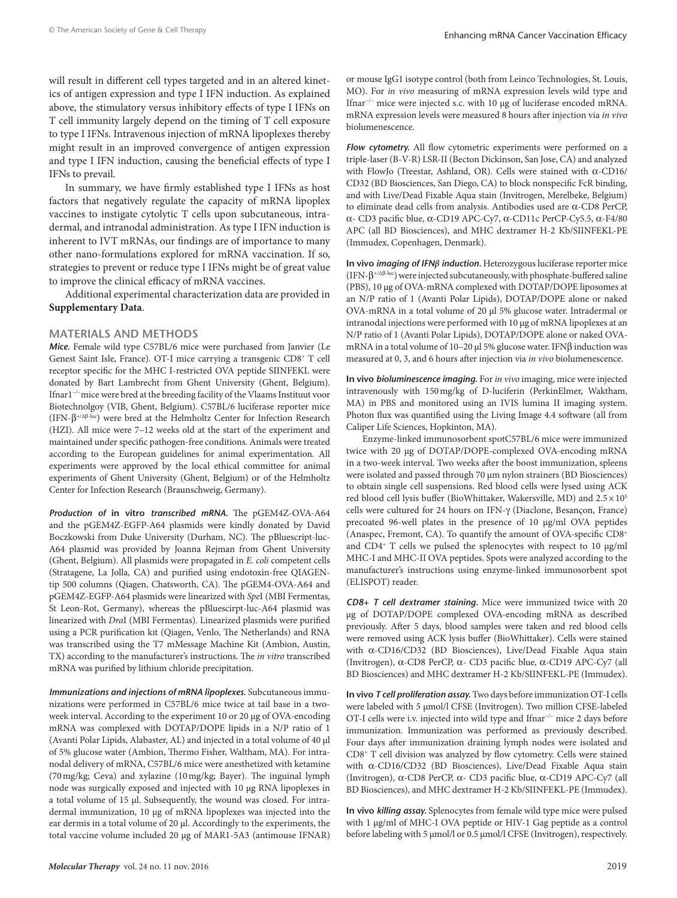will result in different cell types targeted and in an altered kinetics of antigen expression and type I IFN induction. As explained above, the stimulatory versus inhibitory effects of type I IFNs on T cell immunity largely depend on the timing of T cell exposure to type I IFNs. Intravenous injection of mRNA lipoplexes thereby might result in an improved convergence of antigen expression and type I IFN induction, causing the beneficial effects of type I IFNs to prevail.

In summary, we have firmly established type I IFNs as host factors that negatively regulate the capacity of mRNA lipoplex vaccines to instigate cytolytic T cells upon subcutaneous, intradermal, and intranodal administration. As type I IFN induction is inherent to IVT mRNAs, our findings are of importance to many other nano-formulations explored for mRNA vaccination. If so, strategies to prevent or reduce type I IFNs might be of great value to improve the clinical efficacy of mRNA vaccines.

Additional experimental characterization data are provided in **Supplementary Data**.

## **MATERIALS AND METHODS**

*Mice.* Female wild type C57BL/6 mice were purchased from Janvier (Le Genest Saint Isle, France). OT-I mice carrying a transgenic CD8+ T cell receptor specific for the MHC I-restricted OVA peptide SIINFEKL were donated by Bart Lambrecht from Ghent University (Ghent, Belgium). Ifnar1−/−mice were bred at the breeding facility of the Vlaams Instituut voor Biotechnolgoy (VIB, Ghent, Belgium). C57BL/6 luciferase reporter mice (IFN-β+/Δ<sup>β</sup>-luc) were bred at the Helmholtz Center for Infection Research (HZI). All mice were 7–12 weeks old at the start of the experiment and maintained under specific pathogen-free conditions. Animals were treated according to the European guidelines for animal experimentation. All experiments were approved by the local ethical committee for animal experiments of Ghent University (Ghent, Belgium) or of the Helmholtz Center for Infection Research (Braunschweig, Germany).

*Production of* **in vitro** *transcribed mRNA.* The pGEM4Z-OVA-A64 and the pGEM4Z-EGFP-A64 plasmids were kindly donated by David Boczkowski from Duke University (Durham, NC). The pBluescript-luc-A64 plasmid was provided by Joanna Rejman from Ghent University (Ghent, Belgium). All plasmids were propagated in *E. coli* competent cells (Stratagene, La Jolla, CA) and purified using endotoxin-free QIAGENtip 500 columns (Qiagen, Chatsworth, CA). The pGEM4-OVA-A64 and pGEM4Z-EGFP-A64 plasmids were linearized with *Spe*I (MBI Fermentas, St Leon-Rot, Germany), whereas the pBluescirpt-luc-A64 plasmid was linearized with *Dra*I (MBI Fermentas). Linearized plasmids were purified using a PCR purification kit (Qiagen, Venlo, The Netherlands) and RNA was transcribed using the T7 mMessage Machine Kit (Ambion, Austin, TX) according to the manufacturer's instructions. The *in vitro* transcribed mRNA was purified by lithium chloride precipitation.

*Immunizations and injections of mRNA lipoplexes.* Subcutaneous immunizations were performed in C57BL/6 mice twice at tail base in a twoweek interval. According to the experiment 10 or 20 μg of OVA-encoding mRNA was complexed with DOTAP/DOPE lipids in a N/P ratio of 1 (Avanti Polar Lipids, Alabaster, AL) and injected in a total volume of 40 μl of 5% glucose water (Ambion, Thermo Fisher, Waltham, MA). For intranodal delivery of mRNA, C57BL/6 mice were anesthetized with ketamine (70mg/kg; Ceva) and xylazine (10mg/kg; Bayer). The inguinal lymph node was surgically exposed and injected with 10 µg RNA lipoplexes in a total volume of 15 µl. Subsequently, the wound was closed. For intradermal immunization, 10 µg of mRNA lipoplexes was injected into the ear dermis in a total volume of 20 µl. Accordingly to the experiments, the total vaccine volume included 20 μg of MAR1-5A3 (antimouse IFNAR) or mouse IgG1 isotype control (both from Leinco Technologies, St. Louis, MO). For *in vivo* measuring of mRNA expression levels wild type and Ifnar−/− mice were injected s.c. with 10 µg of luciferase encoded mRNA. mRNA expression levels were measured 8 hours after injection via *in vivo* biolumenescence.

*Flow cytometry.* All flow cytometric experiments were performed on a triple-laser (B-V-R) LSR-II (Becton Dickinson, San Jose, CA) and analyzed with FlowJo (Treestar, Ashland, OR). Cells were stained with α-CD16/ CD32 (BD Biosciences, San Diego, CA) to block nonspecific FcR binding, and with Live/Dead Fixable Aqua stain (Invitrogen, Merelbeke, Belgium) to eliminate dead cells from analysis. Antibodies used are α-CD8 PerCP, α- CD3 pacific blue, α-CD19 APC-Cy7, α-CD11c PerCP-Cy5.5, α-F4/80 APC (all BD Biosciences), and MHC dextramer H-2 Kb/SIINFEKL-PE (Immudex, Copenhagen, Denmark).

**In vivo** *imaging of IFNβ induction.* Heterozygous luciferase reporter mice  $(IFN-\beta^{+/ \Delta \beta \text{-} \text{lac}})$  were injected subcutaneously, with phosphate-buffered saline (PBS), 10 µg of OVA-mRNA complexed with DOTAP/DOPE liposomes at an N/P ratio of 1 (Avanti Polar Lipids), DOTAP/DOPE alone or naked OVA*-*mRNA in a total volume of 20 μl 5% glucose water. Intradermal or intranodal injections were performed with 10 µg of mRNA lipoplexes at an N/P ratio of 1 (Avanti Polar Lipids), DOTAP/DOPE alone or naked OVAmRNA in a total volume of 10–20 μl 5% glucose water. IFNβ induction was measured at 0, 3, and 6 hours after injection via *in vivo* biolumenescence.

**In vivo** *bioluminescence imaging.* For *in vivo* imaging, mice were injected intravenously with 150mg/kg of D-luciferin (PerkinElmer, Waktham, MA) in PBS and monitored using an IVIS lumina II imaging system. Photon flux was quantified using the Living Image 4.4 software (all from Caliper Life Sciences, Hopkinton, MA).

Enzyme-linked immunosorbent spotC57BL/6 mice were immunized twice with 20 µg of DOTAP/DOPE-complexed OVA-encoding mRNA in a two-week interval. Two weeks after the boost immunization, spleens were isolated and passed through 70 μm nylon strainers (BD Biosciences) to obtain single cell suspensions. Red blood cells were lysed using ACK red blood cell lysis buffer (BioWhittaker, Wakersville, MD) and  $2.5 \times 10^5$ cells were cultured for 24 hours on IFN-γ (Diaclone, Besançon, France) precoated 96-well plates in the presence of 10 μg/ml OVA peptides (Anaspec, Fremont, CA). To quantify the amount of OVA-specific CD8+ and  $CD4$ <sup>+</sup> T cells we pulsed the splenocytes with respect to 10  $\mu$ g/ml MHC-I and MHC-II OVA peptides. Spots were analyzed according to the manufacturer's instructions using enzyme-linked immunosorbent spot (ELISPOT) reader.

*CD8+ T cell dextramer staining.* Mice were immunized twice with 20 µg of DOTAP/DOPE complexed OVA-encoding mRNA as described previously. After 5 days, blood samples were taken and red blood cells were removed using ACK lysis buffer (BioWhittaker). Cells were stained with α-CD16/CD32 (BD Biosciences), Live/Dead Fixable Aqua stain (Invitrogen), α-CD8 PerCP, α- CD3 pacific blue, α-CD19 APC-Cy7 (all BD Biosciences) and MHC dextramer H-2 Kb/SIINFEKL-PE (Immudex).

**In vivo** *T cell proliferation assay.* Two days before immunization OT-I cells were labeled with 5 µmol/l CFSE (Invitrogen). Two million CFSE-labeled OT-I cells were i.v. injected into wild type and Ifnar−/− mice 2 days before immunization. Immunization was performed as previously described. Four days after immunization draining lymph nodes were isolated and CD8+ T cell division was analyzed by flow cytometry. Cells were stained with α-CD16/CD32 (BD Biosciences), Live/Dead Fixable Aqua stain (Invitrogen), α-CD8 PerCP, α- CD3 pacific blue, α-CD19 APC-Cy7 (all BD Biosciences), and MHC dextramer H-2 Kb/SIINFEKL-PE (Immudex).

**In vivo** *killing assay.* Splenocytes from female wild type mice were pulsed with 1 µg/ml of MHC-I OVA peptide or HIV-1 Gag peptide as a control before labeling with 5 µmol/l or 0.5 µmol/l CFSE (Invitrogen), respectively.